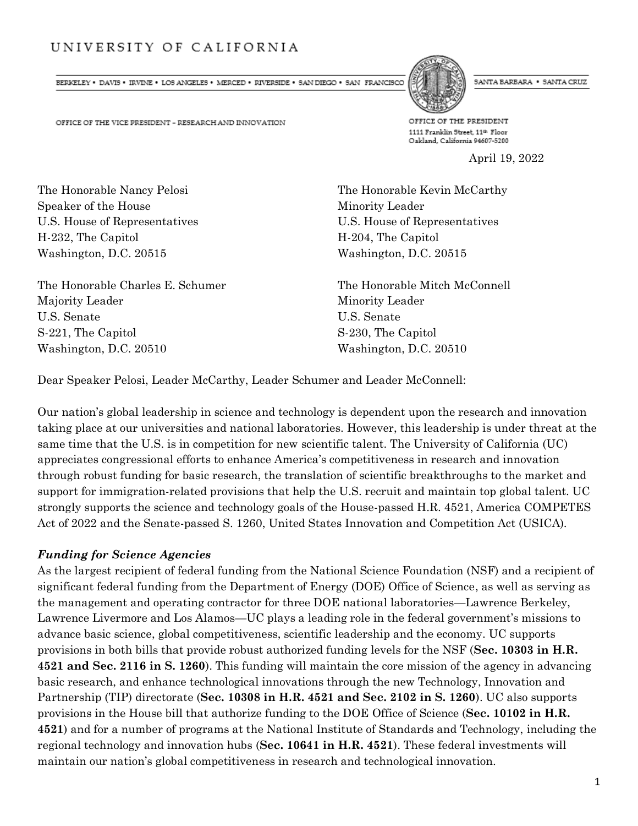# UNIVERSITY OF CALIFORNIA

 $\texttt{BERELEY} \;\bullet\; \texttt{DAVIS} \;\bullet\; \texttt{IRVINE} \;\bullet\; \texttt{LOS ANGELES} \;\bullet\; \texttt{MERCED} \;\bullet\; \texttt{RVVERSIDE} \;\bullet\; \texttt{SAN DIBGO} \;\bullet\; \texttt{SAN FRANCISCO}$ 



SANTA BARBARA . SANTA CRUZ

OFFICE OF THE VICE PRESIDENT - RESEARCH AND INNOVATION

OFFICE OF THE PRESIDENT 1111 Franklin Street, 11th Floor Oakland, California 94607-5200

April 19, 2022

The Honorable Nancy Pelosi **The Honorable Kevin McCarthy** Speaker of the House Minority Leader H-232, The Capitol H-204, The Capitol Washington, D.C. 20515 Washington, D.C. 20515

The Honorable Charles E. Schumer The Honorable Mitch McConnell Majority Leader Minority Leader U.S. Senate U.S. Senate S-221, The Capitol S-230, The Capitol Washington, D.C. 20510 Washington, D.C. 20510

U.S. House of Representatives U.S. House of Representatives

Dear Speaker Pelosi, Leader McCarthy, Leader Schumer and Leader McConnell:

Our nation's global leadership in science and technology is dependent upon the research and innovation taking place at our universities and national laboratories. However, this leadership is under threat at the same time that the U.S. is in competition for new scientific talent. The University of California (UC) appreciates congressional efforts to enhance America's competitiveness in research and innovation through robust funding for basic research, the translation of scientific breakthroughs to the market and support for immigration-related provisions that help the U.S. recruit and maintain top global talent. UC strongly supports the science and technology goals of the House-passed H.R. 4521, America COMPETES Act of 2022 and the Senate-passed S. 1260, United States Innovation and Competition Act (USICA).

#### *Funding for Science Agencies*

As the largest recipient of federal funding from the National Science Foundation (NSF) and a recipient of significant federal funding from the Department of Energy (DOE) Office of Science, as well as serving as the management and operating contractor for three DOE national laboratories—Lawrence Berkeley, Lawrence Livermore and Los Alamos—UC plays a leading role in the federal government's missions to advance basic science, global competitiveness, scientific leadership and the economy. UC supports provisions in both bills that provide robust authorized funding levels for the NSF (**Sec. 10303 in H.R. 4521 and Sec. 2116 in S. 1260**). This funding will maintain the core mission of the agency in advancing basic research, and enhance technological innovations through the new Technology, Innovation and Partnership (TIP) directorate (**Sec. 10308 in H.R. 4521 and Sec. 2102 in S. 1260**). UC also supports provisions in the House bill that authorize funding to the DOE Office of Science (**Sec. 10102 in H.R. 4521**) and for a number of programs at the National Institute of Standards and Technology, including the regional technology and innovation hubs (**Sec. 10641 in H.R. 4521**). These federal investments will maintain our nation's global competitiveness in research and technological innovation.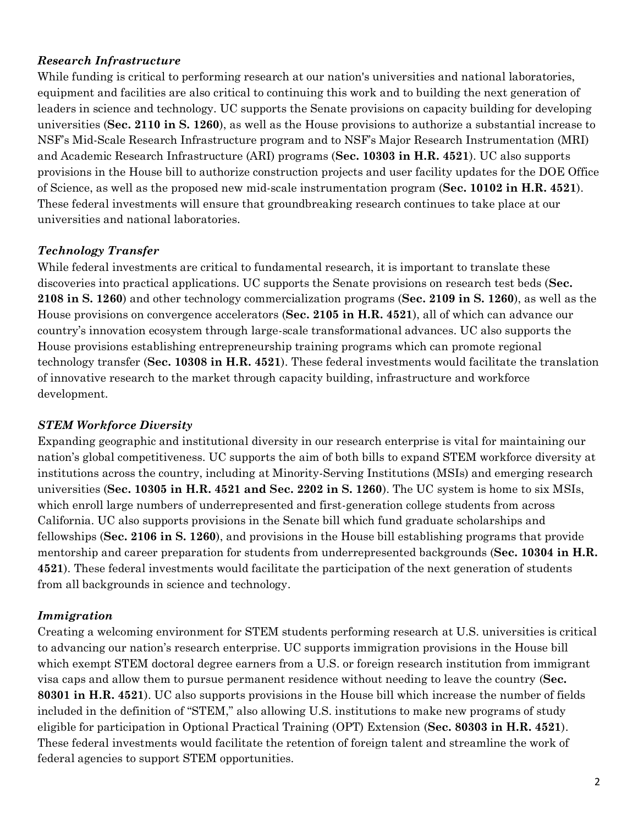# *Research Infrastructure*

While funding is critical to performing research at our nation's universities and national laboratories, equipment and facilities are also critical to continuing this work and to building the next generation of leaders in science and technology. UC supports the Senate provisions on capacity building for developing universities (**Sec. 2110 in S. 1260**), as well as the House provisions to authorize a substantial increase to NSF's Mid-Scale Research Infrastructure program and to NSF's Major Research Instrumentation (MRI) and Academic Research Infrastructure (ARI) programs (**Sec. 10303 in H.R. 4521**). UC also supports provisions in the House bill to authorize construction projects and user facility updates for the DOE Office of Science, as well as the proposed new mid-scale instrumentation program (**Sec. 10102 in H.R. 4521**). These federal investments will ensure that groundbreaking research continues to take place at our universities and national laboratories.

# *Technology Transfer*

While federal investments are critical to fundamental research, it is important to translate these discoveries into practical applications. UC supports the Senate provisions on research test beds (**Sec. 2108 in S. 1260**) and other technology commercialization programs (**Sec. 2109 in S. 1260**), as well as the House provisions on convergence accelerators (**Sec. 2105 in H.R. 4521**), all of which can advance our country's innovation ecosystem through large-scale transformational advances. UC also supports the House provisions establishing entrepreneurship training programs which can promote regional technology transfer (**Sec. 10308 in H.R. 4521**). These federal investments would facilitate the translation of innovative research to the market through capacity building, infrastructure and workforce development.

### *STEM Workforce Diversity*

Expanding geographic and institutional diversity in our research enterprise is vital for maintaining our nation's global competitiveness. UC supports the aim of both bills to expand STEM workforce diversity at institutions across the country, including at Minority-Serving Institutions (MSIs) and emerging research universities (**Sec. 10305 in H.R. 4521 and Sec. 2202 in S. 1260**). The UC system is home to six MSIs, which enroll large numbers of underrepresented and first-generation college students from across California. UC also supports provisions in the Senate bill which fund graduate scholarships and fellowships (**Sec. 2106 in S. 1260**), and provisions in the House bill establishing programs that provide mentorship and career preparation for students from underrepresented backgrounds (**Sec. 10304 in H.R. 4521**). These federal investments would facilitate the participation of the next generation of students from all backgrounds in science and technology.

### *Immigration*

Creating a welcoming environment for STEM students performing research at U.S. universities is critical to advancing our nation's research enterprise. UC supports immigration provisions in the House bill which exempt STEM doctoral degree earners from a U.S. or foreign research institution from immigrant visa caps and allow them to pursue permanent residence without needing to leave the country (**Sec. 80301 in H.R. 4521**). UC also supports provisions in the House bill which increase the number of fields included in the definition of "STEM," also allowing U.S. institutions to make new programs of study eligible for participation in Optional Practical Training (OPT) Extension (**Sec. 80303 in H.R. 4521**). These federal investments would facilitate the retention of foreign talent and streamline the work of federal agencies to support STEM opportunities.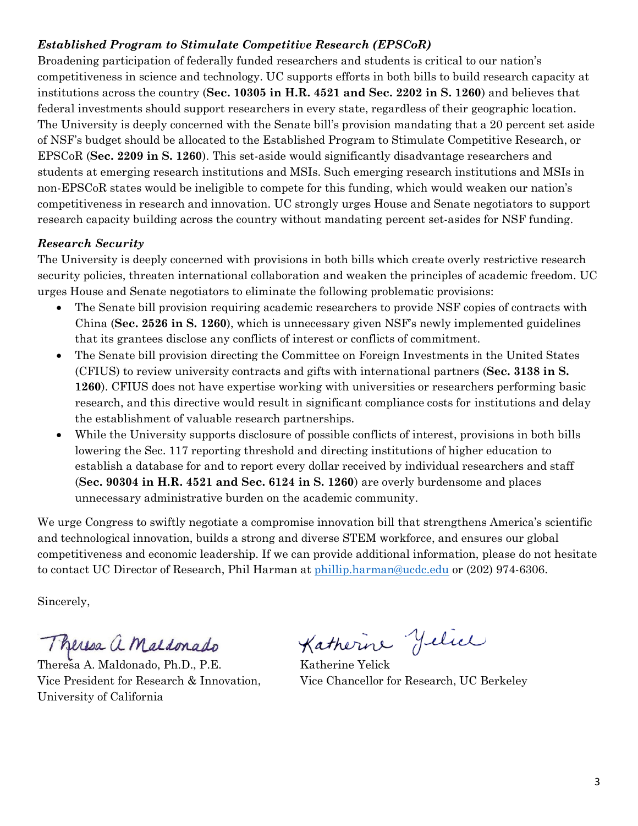# *Established Program to Stimulate Competitive Research (EPSCoR)*

Broadening participation of federally funded researchers and students is critical to our nation's competitiveness in science and technology. UC supports efforts in both bills to build research capacity at institutions across the country (**Sec. 10305 in H.R. 4521 and Sec. 2202 in S. 1260**) and believes that federal investments should support researchers in every state, regardless of their geographic location. The University is deeply concerned with the Senate bill's provision mandating that a 20 percent set aside of NSF's budget should be allocated to the Established Program to Stimulate Competitive Research, or EPSCoR (**Sec. 2209 in S. 1260**). This set-aside would significantly disadvantage researchers and students at emerging research institutions and MSIs. Such emerging research institutions and MSIs in non-EPSCoR states would be ineligible to compete for this funding, which would weaken our nation's competitiveness in research and innovation. UC strongly urges House and Senate negotiators to support research capacity building across the country without mandating percent set-asides for NSF funding.

### *Research Security*

The University is deeply concerned with provisions in both bills which create overly restrictive research security policies, threaten international collaboration and weaken the principles of academic freedom. UC urges House and Senate negotiators to eliminate the following problematic provisions:

- The Senate bill provision requiring academic researchers to provide NSF copies of contracts with China (**Sec. 2526 in S. 1260**), which is unnecessary given NSF's newly implemented guidelines that its grantees disclose any conflicts of interest or conflicts of commitment.
- The Senate bill provision directing the Committee on Foreign Investments in the United States (CFIUS) to review university contracts and gifts with international partners (**Sec. 3138 in S. 1260**). CFIUS does not have expertise working with universities or researchers performing basic research, and this directive would result in significant compliance costs for institutions and delay the establishment of valuable research partnerships.
- While the University supports disclosure of possible conflicts of interest, provisions in both bills lowering the Sec. 117 reporting threshold and directing institutions of higher education to establish a database for and to report every dollar received by individual researchers and staff (**Sec. 90304 in H.R. 4521 and Sec. 6124 in S. 1260**) are overly burdensome and places unnecessary administrative burden on the academic community.

We urge Congress to swiftly negotiate a compromise innovation bill that strengthens America's scientific and technological innovation, builds a strong and diverse STEM workforce, and ensures our global competitiveness and economic leadership. If we can provide additional information, please do not hesitate to contact UC Director of Research, Phil Harman at [phillip.harman@ucdc.edu](mailto:phillip.harman@ucdc.edu) or (202) 974-6306.

Sincerely,

Theresa a Maldonado

Theresa A. Maldonado, Ph.D., P.E. Katherine Yelick Vice President for Research & Innovation, Vice Chancellor for Research, UC Berkeley University of California

Katherine Jelice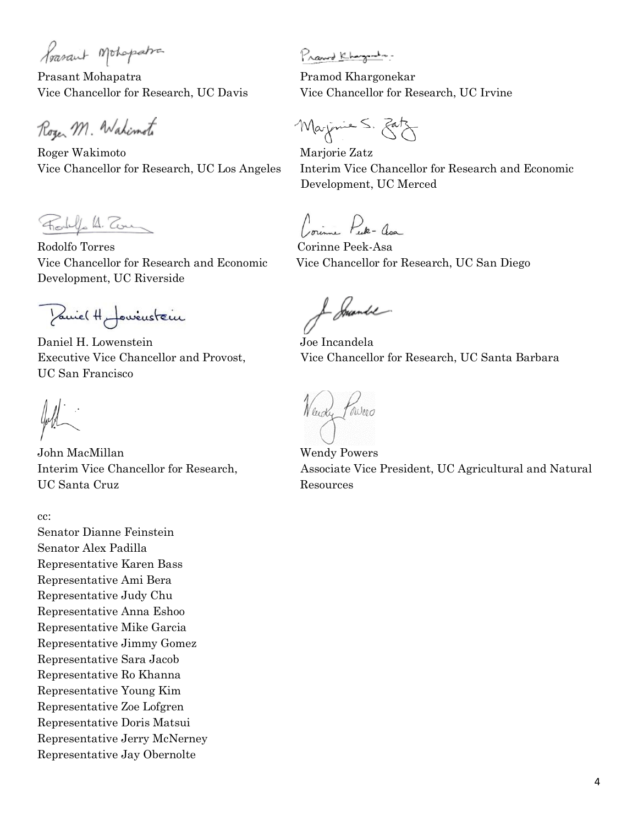Poasant Mohopatra

Prasant Mohapatra Pramod Khargonekar

Roger M. Wahimoto

Roger Wakimoto Marjorie Zatz

Forly A. Tom

Rodolfo Torres Corinne Peek-Asa Development, UC Riverside

Pariel H Journaleur

Daniel H. Lowenstein Joe Incandela UC San Francisco

foll

John MacMillan Wendy Powers UC Santa Cruz Resources

cc:

Senator Dianne Feinstein Senator Alex Padilla Representative Karen Bass Representative Ami Bera Representative Judy Chu Representative Anna Eshoo Representative Mike Garcia Representative Jimmy Gomez Representative Sara Jacob Representative Ro Khanna Representative Young Kim Representative Zoe Lofgren Representative Doris Matsui Representative Jerry McNerney Representative Jay Obernolte

Prawd Khazanta-

Vice Chancellor for Research, UC Davis Vice Chancellor for Research, UC Irvine

Marjonie S. Eatz

Vice Chancellor for Research, UC Los Angeles Interim Vice Chancellor for Research and Economic Development, UC Merced

Comme Puk - an

Vice Chancellor for Research and Economic Vice Chancellor for Research, UC San Diego

J Smande

Executive Vice Chancellor and Provost, Vice Chancellor for Research, UC Santa Barbara

Neudy Powers

Interim Vice Chancellor for Research, Associate Vice President, UC Agricultural and Natural